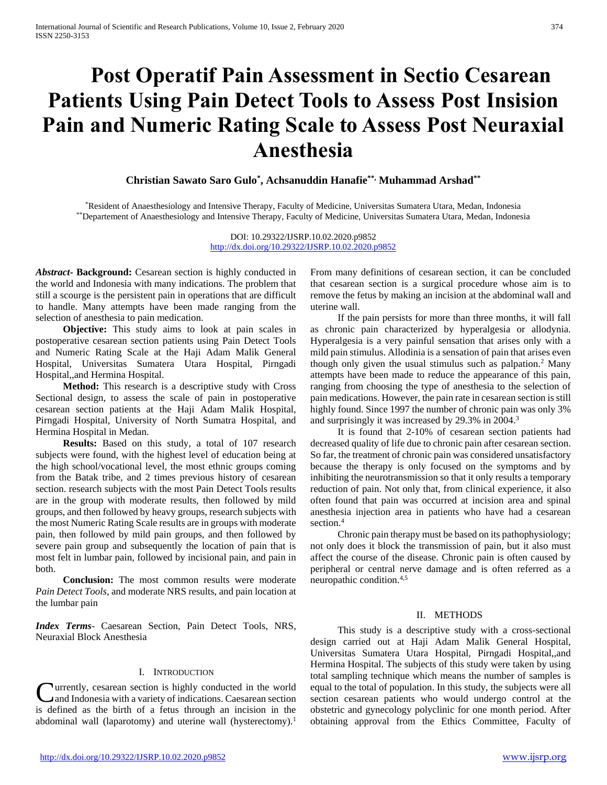# **Post Operatif Pain Assessment in Sectio Cesarean Patients Using Pain Detect Tools to Assess Post Insision Pain and Numeric Rating Scale to Assess Post Neuraxial Anesthesia**

**Christian Sawato Saro Gulo\* , Achsanuddin Hanafie\*\*, Muhammad Arshad\*\***

\*Resident of Anaesthesiology and Intensive Therapy, Faculty of Medicine, Universitas Sumatera Utara, Medan, Indonesia \*\*Departement of Anaesthesiology and Intensive Therapy, Faculty of Medicine, Universitas Sumatera Utara, Medan, Indonesia

> DOI: 10.29322/IJSRP.10.02.2020.p9852 <http://dx.doi.org/10.29322/IJSRP.10.02.2020.p9852>

*Abstract***- Background:** Cesarean section is highly conducted in the world and Indonesia with many indications. The problem that still a scourge is the persistent pain in operations that are difficult to handle. Many attempts have been made ranging from the selection of anesthesia to pain medication.

 **Objective:** This study aims to look at pain scales in postoperative cesarean section patients using Pain Detect Tools and Numeric Rating Scale at the Haji Adam Malik General Hospital, Universitas Sumatera Utara Hospital, Pirngadi Hospital,,and Hermina Hospital.

 **Method:** This research is a descriptive study with Cross Sectional design, to assess the scale of pain in postoperative cesarean section patients at the Haji Adam Malik Hospital, Pirngadi Hospital, University of North Sumatra Hospital, and Hermina Hospital in Medan.

 **Results:** Based on this study, a total of 107 research subjects were found, with the highest level of education being at the high school/vocational level, the most ethnic groups coming from the Batak tribe, and 2 times previous history of cesarean section. research subjects with the most Pain Detect Tools results are in the group with moderate results, then followed by mild groups, and then followed by heavy groups, research subjects with the most Numeric Rating Scale results are in groups with moderate pain, then followed by mild pain groups, and then followed by severe pain group and subsequently the location of pain that is most felt in lumbar pain, followed by incisional pain, and pain in both.

 **Conclusion:** The most common results were moderate *Pain Detect Tools*, and moderate NRS results, and pain location at the lumbar pain

*Index Terms*- Caesarean Section, Pain Detect Tools, NRS, Neuraxial Block Anesthesia

#### I. INTRODUCTION

**C**urrently, cesarean section is highly conducted in the world<br>and Indonesia with a variety of indications. Caesarean section and Indonesia with a variety of indications. Caesarean section is defined as the birth of a fetus through an incision in the abdominal wall (laparotomy) and uterine wall (hysterectomy).<sup>1</sup>

From many definitions of cesarean section, it can be concluded that cesarean section is a surgical procedure whose aim is to remove the fetus by making an incision at the abdominal wall and uterine wall.

 If the pain persists for more than three months, it will fall as chronic pain characterized by hyperalgesia or allodynia. Hyperalgesia is a very painful sensation that arises only with a mild pain stimulus. Allodinia is a sensation of pain that arises even though only given the usual stimulus such as palpation.<sup>2</sup> Many attempts have been made to reduce the appearance of this pain, ranging from choosing the type of anesthesia to the selection of pain medications. However, the pain rate in cesarean section is still highly found. Since 1997 the number of chronic pain was only 3% and surprisingly it was increased by 29.3% in 2004.<sup>3</sup>

 It is found that 2-10% of cesarean section patients had decreased quality of life due to chronic pain after cesarean section. So far, the treatment of chronic pain was considered unsatisfactory because the therapy is only focused on the symptoms and by inhibiting the neurotransmission so that it only results a temporary reduction of pain. Not only that, from clinical experience, it also often found that pain was occurred at incision area and spinal anesthesia injection area in patients who have had a cesarean section.<sup>4</sup>

 Chronic pain therapy must be based on its pathophysiology; not only does it block the transmission of pain, but it also must affect the course of the disease. Chronic pain is often caused by peripheral or central nerve damage and is often referred as a neuropathic condition.4,5

#### II. METHODS

 This study is a descriptive study with a cross-sectional design carried out at Haji Adam Malik General Hospital, Universitas Sumatera Utara Hospital, Pirngadi Hospital,,and Hermina Hospital. The subjects of this study were taken by using total sampling technique which means the number of samples is equal to the total of population. In this study, the subjects were all section cesarean patients who would undergo control at the obstetric and gynecology polyclinic for one month period. After obtaining approval from the Ethics Committee, Faculty of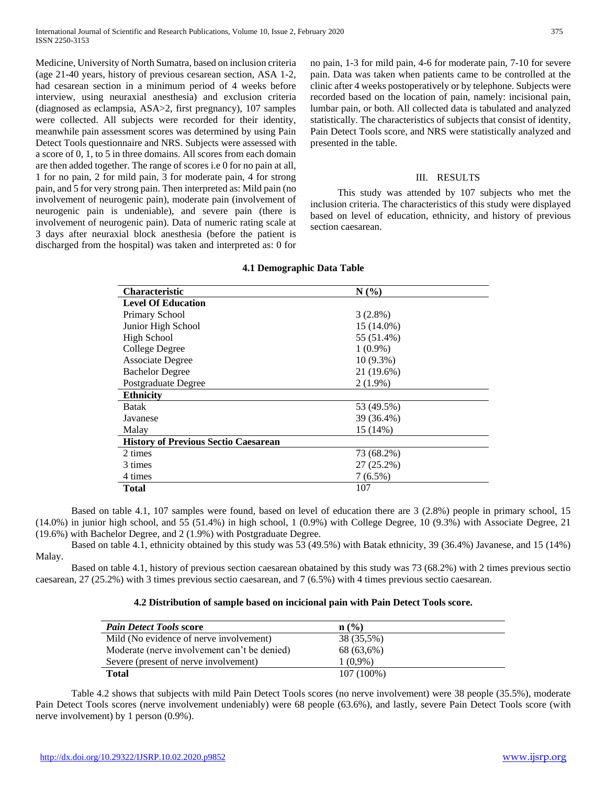Medicine, University of North Sumatra, based on inclusion criteria (age 21-40 years, history of previous cesarean section, ASA 1-2, had cesarean section in a minimum period of 4 weeks before interview, using neuraxial anesthesia) and exclusion criteria (diagnosed as eclampsia, ASA>2, first pregnancy), 107 samples were collected. All subjects were recorded for their identity, meanwhile pain assessment scores was determined by using Pain Detect Tools questionnaire and NRS. Subjects were assessed with a score of 0, 1, to 5 in three domains. All scores from each domain are then added together. The range of scores i.e 0 for no pain at all, 1 for no pain, 2 for mild pain, 3 for moderate pain, 4 for strong pain, and 5 for very strong pain. Then interpreted as: Mild pain (no involvement of neurogenic pain), moderate pain (involvement of neurogenic pain is undeniable), and severe pain (there is involvement of neurogenic pain). Data of numeric rating scale at 3 days after neuraxial block anesthesia (before the patient is discharged from the hospital) was taken and interpreted as: 0 for no pain, 1-3 for mild pain, 4-6 for moderate pain, 7-10 for severe pain. Data was taken when patients came to be controlled at the clinic after 4 weeks postoperatively or by telephone. Subjects were recorded based on the location of pain, namely: incisional pain, lumbar pain, or both. All collected data is tabulated and analyzed statistically. The characteristics of subjects that consist of identity, Pain Detect Tools score, and NRS were statistically analyzed and presented in the table.

# III. RESULTS

 This study was attended by 107 subjects who met the inclusion criteria. The characteristics of this study were displayed based on level of education, ethnicity, and history of previous section caesarean.

| <b>Characteristic</b><br>N(%)               |             |
|---------------------------------------------|-------------|
| <b>Level Of Education</b>                   |             |
| Primary School                              | 3(2.8%)     |
| Junior High School                          | 15 (14.0%)  |
| High School                                 | 55 (51.4%)  |
| College Degree                              | $1(0.9\%)$  |
| <b>Associate Degree</b>                     | $10(9.3\%)$ |
| <b>Bachelor Degree</b>                      | 21 (19.6%)  |
| Postgraduate Degree                         | $2(1.9\%)$  |
| <b>Ethnicity</b>                            |             |
| <b>Batak</b>                                | 53 (49.5%)  |
| Javanese                                    | 39 (36.4%)  |
| Malay                                       | 15 (14%)    |
| <b>History of Previous Sectio Caesarean</b> |             |
| 2 times                                     | 73 (68.2%)  |
| 3 times                                     | 27 (25.2%)  |
| 4 times                                     | $7(6.5\%)$  |
| Total                                       | 107         |

#### **4.1 Demographic Data Table**

Based on table 4.1, 107 samples were found, based on level of education there are 3 (2.8%) people in primary school, 15 (14.0%) in junior high school, and 55 (51.4%) in high school, 1 (0.9%) with College Degree, 10 (9.3%) with Associate Degree, 21 (19.6%) with Bachelor Degree, and 2 (1.9%) with Postgraduate Degree.

Based on table 4.1, ethnicity obtained by this study was 53 (49.5%) with Batak ethnicity, 39 (36.4%) Javanese, and 15 (14%) Malay.

Based on table 4.1, history of previous section caesarean obatained by this study was 73 (68.2%) with 2 times previous sectio caesarean, 27 (25.2%) with 3 times previous sectio caesarean, and 7 (6.5%) with 4 times previous sectio caesarean.

### **4.2 Distribution of sample based on incicional pain with Pain Detect Tools score.**

| <b>Pain Detect Tools score</b>               | $\mathbf{n}(\%)$ |
|----------------------------------------------|------------------|
| Mild (No evidence of nerve involvement)      | 38 (35,5%)       |
| Moderate (nerve involvement can't be denied) | 68 (63,6%)       |
| Severe (present of nerve involvement)        | $1(0.9\%)$       |
| <b>Total</b>                                 | 107 (100%)       |

Table 4.2 shows that subjects with mild Pain Detect Tools scores (no nerve involvement) were 38 people (35.5%), moderate Pain Detect Tools scores (nerve involvement undeniably) were 68 people (63.6%), and lastly, severe Pain Detect Tools score (with nerve involvement) by 1 person (0.9%).